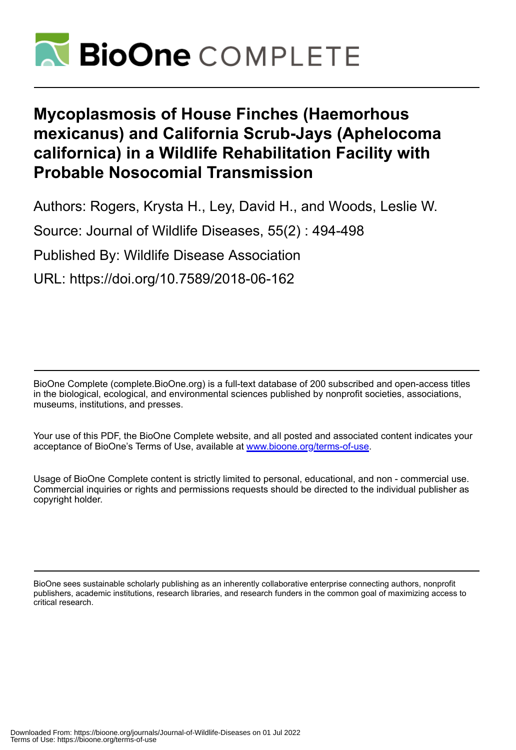

## **Mycoplasmosis of House Finches (Haemorhous mexicanus) and California Scrub-Jays (Aphelocoma californica) in a Wildlife Rehabilitation Facility with Probable Nosocomial Transmission**

Authors: Rogers, Krysta H., Ley, David H., and Woods, Leslie W. Source: Journal of Wildlife Diseases, 55(2) : 494-498 Published By: Wildlife Disease Association URL: https://doi.org/10.7589/2018-06-162

BioOne Complete (complete.BioOne.org) is a full-text database of 200 subscribed and open-access titles in the biological, ecological, and environmental sciences published by nonprofit societies, associations, museums, institutions, and presses.

Your use of this PDF, the BioOne Complete website, and all posted and associated content indicates your acceptance of BioOne's Terms of Use, available at www.bioone.org/terms-of-use.

Usage of BioOne Complete content is strictly limited to personal, educational, and non - commercial use. Commercial inquiries or rights and permissions requests should be directed to the individual publisher as copyright holder.

BioOne sees sustainable scholarly publishing as an inherently collaborative enterprise connecting authors, nonprofit publishers, academic institutions, research libraries, and research funders in the common goal of maximizing access to critical research.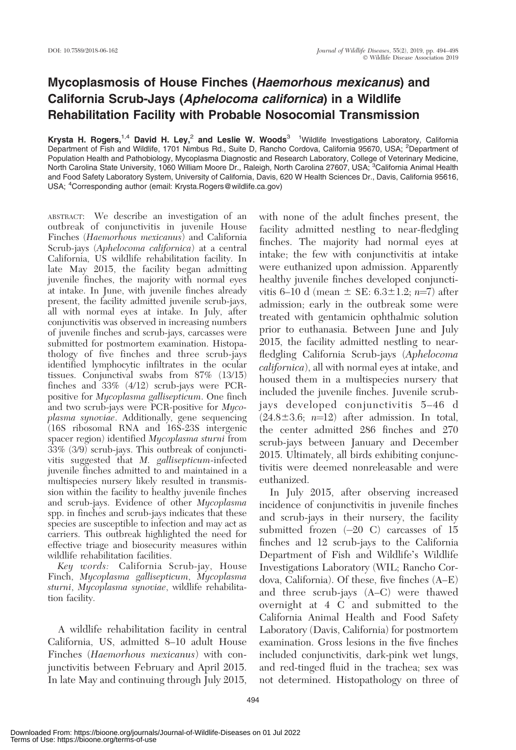## Mycoplasmosis of House Finches (Haemorhous mexicanus) and California Scrub-Jays (Aphelocoma californica) in a Wildlife Rehabilitation Facility with Probable Nosocomial Transmission

Krysta H. Rogers,<sup>1,4</sup> David H. Ley,<sup>2</sup> and Leslie W. Woods<sup>3</sup> <sup>1</sup>Wildlife Investigations Laboratory, California Department of Fish and Wildlife, 1701 Nimbus Rd., Suite D, Rancho Cordova, California 95670, USA; <sup>2</sup>Department of Population Health and Pathobiology, Mycoplasma Diagnostic and Research Laboratory, College of Veterinary Medicine, North Carolina State University, 1060 William Moore Dr., Raleigh, North Carolina 27607, USA; <sup>3</sup> California Animal Health and Food Safety Laboratory System, University of California, Davis, 620 W Health Sciences Dr., Davis, California 95616, USA; <sup>4</sup>Corresponding author (email: Krysta.Rogers@wildlife.ca.gov)

ABSTRACT: We describe an investigation of an outbreak of conjunctivitis in juvenile House Finches (Haemorhous mexicanus) and California Scrub-jays (Aphelocoma californica) at a central California, US wildlife rehabilitation facility. In late May 2015, the facility began admitting juvenile finches, the majority with normal eyes at intake. In June, with juvenile finches already present, the facility admitted juvenile scrub-jays, all with normal eyes at intake. In July, after conjunctivitis was observed in increasing numbers of juvenile finches and scrub-jays, carcasses were submitted for postmortem examination. Histopathology of five finches and three scrub-jays identified lymphocytic infiltrates in the ocular tissues. Conjunctival swabs from 87% (13/15) finches and 33% (4/12) scrub-jays were PCRpositive for Mycoplasma gallisepticum. One finch and two scrub-jays were PCR-positive for Mycoplasma synoviae. Additionally, gene sequencing (16S ribosomal RNA and 16S-23S intergenic spacer region) identified Mycoplasma sturni from 33% (3/9) scrub-jays. This outbreak of conjunctivitis suggested that M. gallisepticum-infected juvenile finches admitted to and maintained in a multispecies nursery likely resulted in transmission within the facility to healthy juvenile finches and scrub-jays. Evidence of other Mycoplasma spp. in finches and scrub-jays indicates that these species are susceptible to infection and may act as carriers. This outbreak highlighted the need for effective triage and biosecurity measures within wildlife rehabilitation facilities.

Key words: California Scrub-jay, House Finch, Mycoplasma gallisepticum, Mycoplasma sturni, Mycoplasma synoviae, wildlife rehabilitation facility.

A wildlife rehabilitation facility in central California, US, admitted 8–10 adult House Finches (Haemorhous mexicanus) with conjunctivitis between February and April 2015. In late May and continuing through July 2015, with none of the adult finches present, the facility admitted nestling to near-fledgling finches. The majority had normal eyes at intake; the few with conjunctivitis at intake were euthanized upon admission. Apparently healthy juvenile finches developed conjunctivitis 6–10 d (mean  $\pm$  SE: 6.3 $\pm$ 1.2; n=7) after admission; early in the outbreak some were treated with gentamicin ophthalmic solution prior to euthanasia. Between June and July 2015, the facility admitted nestling to nearfledgling California Scrub-jays (Aphelocoma californica), all with normal eyes at intake, and housed them in a multispecies nursery that included the juvenile finches. Juvenile scrubjays developed conjunctivitis 5–46 d  $(24.8\pm3.6; n=12)$  after admission. In total, the center admitted 286 finches and 270 scrub-jays between January and December 2015. Ultimately, all birds exhibiting conjunctivitis were deemed nonreleasable and were euthanized.

In July 2015, after observing increased incidence of conjunctivitis in juvenile finches and scrub-jays in their nursery, the facility submitted frozen  $(-20)$  C carcasses of 15 finches and 12 scrub-jays to the California Department of Fish and Wildlife's Wildlife Investigations Laboratory (WIL; Rancho Cordova, California). Of these, five finches (A–E) and three scrub-jays (A–C) were thawed overnight at 4 C and submitted to the California Animal Health and Food Safety Laboratory (Davis, California) for postmortem examination. Gross lesions in the five finches included conjunctivitis, dark-pink wet lungs, and red-tinged fluid in the trachea; sex was not determined. Histopathology on three of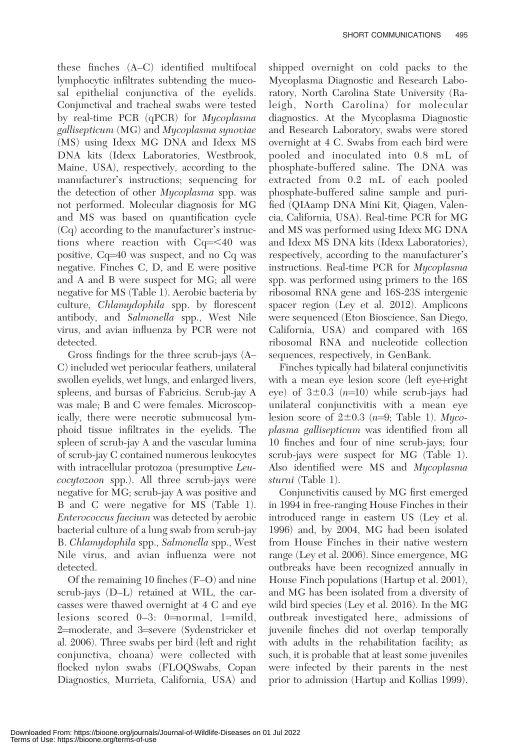these finches (A–C) identified multifocal lymphocytic infiltrates subtending the mucosal epithelial conjunctiva of the eyelids. Conjunctival and tracheal swabs were tested by real-time PCR (qPCR) for Mycoplasma gallisepticum (MG) and Mycoplasma synoviae (MS) using Idexx MG DNA and Idexx MS DNA kits (Idexx Laboratories, Westbrook, Maine, USA), respectively, according to the manufacturer's instructions; sequencing for the detection of other *Mycoplasma* spp. was not performed. Molecular diagnosis for MG and MS was based on quantification cycle (Cq) according to the manufacturer's instructions where reaction with  $Cq = \leq 40$  was positive,  $Cq=40$  was suspect, and no  $Cq$  was negative. Finches C, D, and E were positive and A and B were suspect for MG; all were negative for MS (Table 1). Aerobic bacteria by culture, Chlamydophila spp. by florescent antibody, and Salmonella spp., West Nile virus, and avian influenza by PCR were not detected.

Gross findings for the three scrub-jays (A– C) included wet periocular feathers, unilateral swollen eyelids, wet lungs, and enlarged livers, spleens, and bursas of Fabricius. Scrub-jay A was male; B and C were females. Microscopically, there were necrotic submucosal lymphoid tissue infiltrates in the eyelids. The spleen of scrub-jay A and the vascular lumina of scrub-jay C contained numerous leukocytes with intracellular protozoa (presumptive Leucocytozoon spp.). All three scrub-jays were negative for MG; scrub-jay A was positive and B and C were negative for MS (Table 1). Enterococcus faecium was detected by aerobic bacterial culture of a lung swab from scrub-jay B. Chlamydophila spp., Salmonella spp., West Nile virus, and avian influenza were not detected.

Of the remaining 10 finches (F–O) and nine scrub-jays (D–L) retained at WIL, the carcasses were thawed overnight at 4 C and eye lesions scored  $0-3$ :  $0=$ normal, 1=mild, 2=moderate, and 3=severe (Sydenstricker et al. 2006). Three swabs per bird (left and right conjunctiva, choana) were collected with flocked nylon swabs (FLOQSwabs, Copan Diagnostics, Murrieta, California, USA) and

shipped overnight on cold packs to the Mycoplasma Diagnostic and Research Laboratory, North Carolina State University (Raleigh, North Carolina) for molecular diagnostics. At the Mycoplasma Diagnostic and Research Laboratory, swabs were stored overnight at 4 C. Swabs from each bird were pooled and inoculated into 0.8 mL of phosphate-buffered saline. The DNA was extracted from 0.2 mL of each pooled phosphate-buffered saline sample and purified (QIAamp DNA Mini Kit, Qiagen, Valencia, California, USA). Real-time PCR for MG and MS was performed using Idexx MG DNA and Idexx MS DNA kits (Idexx Laboratories), respectively, according to the manufacturer's instructions. Real-time PCR for Mycoplasma spp. was performed using primers to the 16S ribosomal RNA gene and 16S-23S intergenic spacer region (Ley et al. 2012). Amplicons were sequenced (Eton Bioscience, San Diego, California, USA) and compared with 16S ribosomal RNA and nucleotide collection sequences, respectively, in GenBank.

Finches typically had bilateral conjunctivitis with a mean eye lesion score (left eye+right eye) of  $3\pm0.3$  (n=10) while scrub-jays had unilateral conjunctivitis with a mean eye lesion score of  $2\pm 0.3$  (n=9; Table 1). Mycoplasma gallisepticum was identified from all 10 finches and four of nine scrub-jays; four scrub-jays were suspect for MG (Table 1). Also identified were MS and Mycoplasma sturni (Table 1).

Conjunctivitis caused by MG first emerged in 1994 in free-ranging House Finches in their introduced range in eastern US (Ley et al. 1996) and, by 2004, MG had been isolated from House Finches in their native western range (Ley et al. 2006). Since emergence, MG outbreaks have been recognized annually in House Finch populations (Hartup et al. 2001), and MG has been isolated from a diversity of wild bird species (Ley et al. 2016). In the MG outbreak investigated here, admissions of juvenile finches did not overlap temporally with adults in the rehabilitation facility; as such, it is probable that at least some juveniles were infected by their parents in the nest prior to admission (Hartup and Kollias 1999).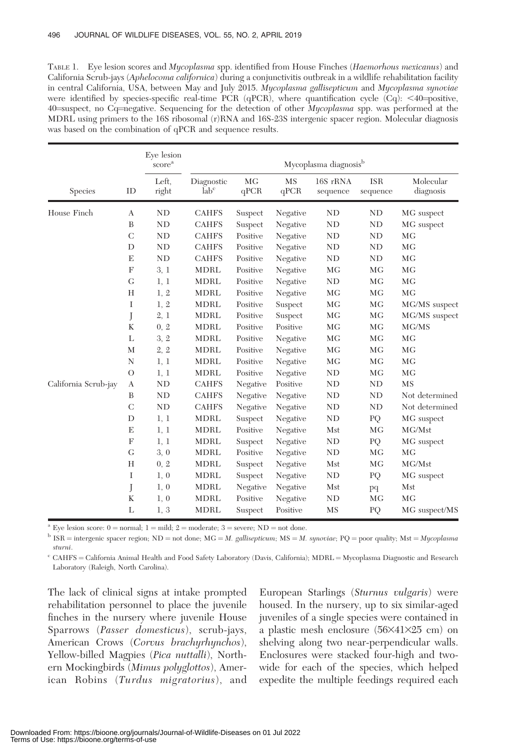TABLE 1. Eye lesion scores and Mycoplasma spp. identified from House Finches (Haemorhous mexicanus) and California Scrub-jays (Aphelocoma californica) during a conjunctivitis outbreak in a wildlife rehabilitation facility in central California, USA, between May and July 2015. Mycoplasma gallisepticum and Mycoplasma synoviae were identified by species-specific real-time PCR (qPCR), where quantification cycle  $(Cq)$ : <40=positive, 40 suspect, no Cq=negative. Sequencing for the detection of other *Mycoplasma* spp. was performed at the MDRL using primers to the 16S ribosomal (r)RNA and 16S-23S intergenic spacer region. Molecular diagnosis was based on the combination of qPCR and sequence results.

| Species              | ID            | Eye lesion<br>score <sup>a</sup><br>Left.<br>right | Mycoplasma diagnosis <sup>b</sup> |            |                   |                      |                        |                        |
|----------------------|---------------|----------------------------------------------------|-----------------------------------|------------|-------------------|----------------------|------------------------|------------------------|
|                      |               |                                                    | Diagnostic<br>lab <sup>c</sup>    | MG<br>qPCR | <b>MS</b><br>qPCR | 16S rRNA<br>sequence | <b>ISR</b><br>sequence | Molecular<br>diagnosis |
| House Finch          | A             | ND                                                 | <b>CAHFS</b>                      | Suspect    | Negative          | <b>ND</b>            | ND                     | MG suspect             |
|                      | B             | ND                                                 | <b>CAHFS</b>                      | Suspect    | Negative          | <b>ND</b>            | ND                     | MG suspect             |
|                      | $\mathcal{C}$ | ND                                                 | <b>CAHFS</b>                      | Positive   | Negative          | <b>ND</b>            | <b>ND</b>              | MG                     |
|                      | D             | ND                                                 | <b>CAHFS</b>                      | Positive   | Negative          | <b>ND</b>            | ND                     | MG                     |
|                      | E             | ND                                                 | <b>CAHFS</b>                      | Positive   | Negative          | <b>ND</b>            | ND                     | M <sub>G</sub>         |
|                      | F             | 3, 1                                               | <b>MDRL</b>                       | Positive   | Negative          | MG                   | <b>MG</b>              | MG                     |
|                      | G             | 1, 1                                               | MDRL                              | Positive   | Negative          | ND                   | MG                     | MG                     |
|                      | H             | 1, 2                                               | <b>MDRL</b>                       | Positive   | Negative          | MG                   | MG                     | MG                     |
|                      | I             | 1, 2                                               | MDRL                              | Positive   | Suspect           | MG                   | MG                     | MG/MS suspect          |
|                      | J             | 2, 1                                               | <b>MDRL</b>                       | Positive   | Suspect           | MG                   | MG                     | MG/MS suspect          |
|                      | K             | 0, 2                                               | <b>MDRL</b>                       | Positive   | Positive          | MG                   | MG                     | MG/MS                  |
|                      | L             | 3, 2                                               | <b>MDRL</b>                       | Positive   | Negative          | MG                   | MG                     | MG                     |
|                      | M             | 2, 2                                               | <b>MDRL</b>                       | Positive   | Negative          | MG                   | MG                     | M <sub>G</sub>         |
|                      | N             | 1, 1                                               | <b>MDRL</b>                       | Positive   | Negative          | MG                   | MG                     | MG                     |
|                      | $\circ$       | 1, 1                                               | MDRL                              | Positive   | Negative          | ND                   | MG                     | MG                     |
| California Scrub-jay | A             | ND                                                 | <b>CAHFS</b>                      | Negative   | Positive          | <b>ND</b>            | ND                     | <b>MS</b>              |
|                      | B             | ND                                                 | <b>CAHFS</b>                      | Negative   | Negative          | ND                   | ND                     | Not determined         |
|                      | $\mathcal{C}$ | ND                                                 | <b>CAHFS</b>                      | Negative   | Negative          | <b>ND</b>            | ND                     | Not determined         |
|                      | D             | 1, 1                                               | MDRL                              | Suspect    | Negative          | ND                   | PQ                     | MG suspect             |
|                      | E             | 1, 1                                               | MDRL                              | Positive   | Negative          | Mst                  | <b>MG</b>              | MG/Mst                 |
|                      | F             | 1, 1                                               | <b>MDRL</b>                       | Suspect    | Negative          | ND                   | PQ                     | MG suspect             |
|                      | G             | 3, 0                                               | <b>MDRL</b>                       | Positive   | Negative          | <b>ND</b>            | <b>MG</b>              | MG                     |
|                      | H             | 0, 2                                               | MDRL                              | Suspect    | Negative          | Mst                  | MG                     | MG/Mst                 |
|                      | I             | 1, 0                                               | MDRL                              | Suspect    | Negative          | ND                   | PQ                     | MG suspect             |
|                      | J             | 1, 0                                               | <b>MDRL</b>                       | Negative   | Negative          | Mst                  | pq                     | Mst                    |
|                      | K             | 1, 0                                               | <b>MDRL</b>                       | Positive   | Negative          | <b>ND</b>            | <b>MG</b>              | MG                     |
|                      | L             | 1, 3                                               | MDRL                              | Suspect    | Positive          | MS                   | PQ                     | MG suspect/MS          |

<sup>a</sup> Eye lesion score:  $0 =$  normal;  $1 =$  mild;  $2 =$  moderate;  $3 =$  severe; ND = not done.

 $b$  ISR = intergenic spacer region; ND = not done; MG = M. gallisepticum; MS = M. synoviae; PQ = poor quality; Mst = Mycoplasma sturni.

<sup>c</sup> CAHFS = California Animal Health and Food Safety Laboratory (Davis, California); MDRL = Mycoplasma Diagnostic and Research Laboratory (Raleigh, North Carolina).

The lack of clinical signs at intake prompted rehabilitation personnel to place the juvenile finches in the nursery where juvenile House Sparrows (Passer domesticus), scrub-jays, American Crows (Corvus brachyrhynchos), Yellow-billed Magpies (Pica nuttalli), Northern Mockingbirds (Mimus polyglottos), American Robins (Turdus migratorius), and

European Starlings (Sturnus vulgaris) were housed. In the nursery, up to six similar-aged juveniles of a single species were contained in a plastic mesh enclosure  $(56\times41\times25$  cm) on shelving along two near-perpendicular walls. Enclosures were stacked four-high and twowide for each of the species, which helped expedite the multiple feedings required each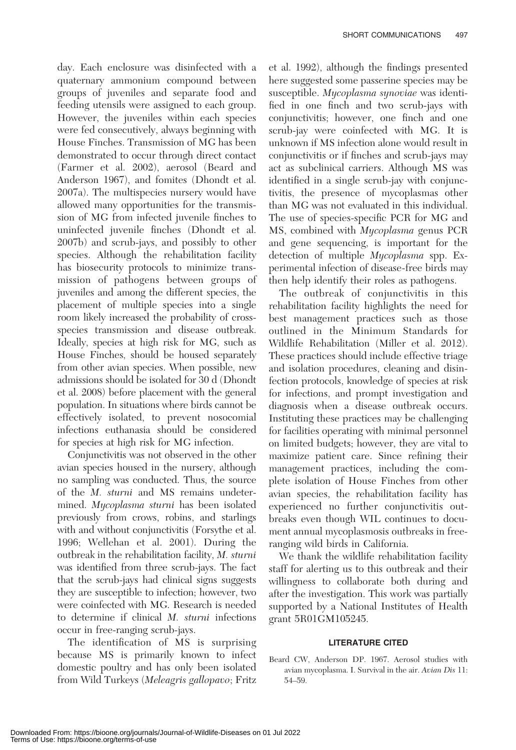day. Each enclosure was disinfected with a quaternary ammonium compound between groups of juveniles and separate food and feeding utensils were assigned to each group. However, the juveniles within each species were fed consecutively, always beginning with House Finches. Transmission of MG has been demonstrated to occur through direct contact (Farmer et al. 2002), aerosol (Beard and Anderson 1967), and fomites (Dhondt et al. 2007a). The multispecies nursery would have allowed many opportunities for the transmission of MG from infected juvenile finches to uninfected juvenile finches (Dhondt et al. 2007b) and scrub-jays, and possibly to other species. Although the rehabilitation facility has biosecurity protocols to minimize transmission of pathogens between groups of juveniles and among the different species, the placement of multiple species into a single room likely increased the probability of crossspecies transmission and disease outbreak. Ideally, species at high risk for MG, such as House Finches, should be housed separately from other avian species. When possible, new admissions should be isolated for 30 d (Dhondt et al. 2008) before placement with the general population. In situations where birds cannot be effectively isolated, to prevent nosocomial infections euthanasia should be considered for species at high risk for MG infection.

Conjunctivitis was not observed in the other avian species housed in the nursery, although no sampling was conducted. Thus, the source of the M. sturni and MS remains undetermined. Mycoplasma sturni has been isolated previously from crows, robins, and starlings with and without conjunctivitis (Forsythe et al. 1996; Wellehan et al. 2001). During the outbreak in the rehabilitation facility, M. sturni was identified from three scrub-jays. The fact that the scrub-jays had clinical signs suggests they are susceptible to infection; however, two were coinfected with MG. Research is needed to determine if clinical M. sturni infections occur in free-ranging scrub-jays.

The identification of MS is surprising because MS is primarily known to infect domestic poultry and has only been isolated from Wild Turkeys (Meleagris gallopavo; Fritz et al. 1992), although the findings presented here suggested some passerine species may be susceptible. Mycoplasma synoviae was identified in one finch and two scrub-jays with conjunctivitis; however, one finch and one scrub-jay were coinfected with MG. It is unknown if MS infection alone would result in conjunctivitis or if finches and scrub-jays may act as subclinical carriers. Although MS was identified in a single scrub-jay with conjunctivitis, the presence of mycoplasmas other than MG was not evaluated in this individual. The use of species-specific PCR for MG and MS, combined with Mycoplasma genus PCR and gene sequencing, is important for the detection of multiple Mycoplasma spp. Experimental infection of disease-free birds may then help identify their roles as pathogens.

The outbreak of conjunctivitis in this rehabilitation facility highlights the need for best management practices such as those outlined in the Minimum Standards for Wildlife Rehabilitation (Miller et al. 2012). These practices should include effective triage and isolation procedures, cleaning and disinfection protocols, knowledge of species at risk for infections, and prompt investigation and diagnosis when a disease outbreak occurs. Instituting these practices may be challenging for facilities operating with minimal personnel on limited budgets; however, they are vital to maximize patient care. Since refining their management practices, including the complete isolation of House Finches from other avian species, the rehabilitation facility has experienced no further conjunctivitis outbreaks even though WIL continues to document annual mycoplasmosis outbreaks in freeranging wild birds in California.

We thank the wildlife rehabilitation facility staff for alerting us to this outbreak and their willingness to collaborate both during and after the investigation. This work was partially supported by a National Institutes of Health grant 5R01GM105245.

## LITERATURE CITED

Beard CW, Anderson DP. 1967. Aerosol studies with avian mycoplasma. I. Survival in the air. Avian Dis 11: 54–59.